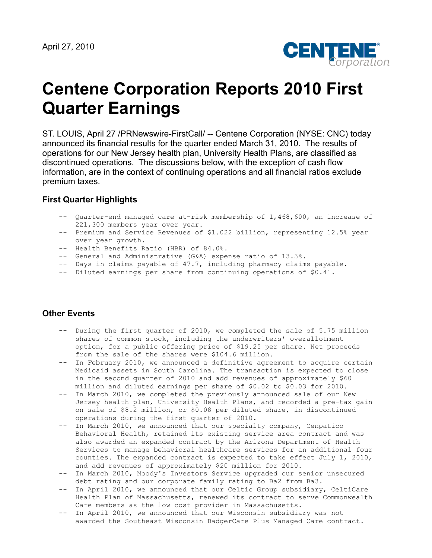

# **Centene Corporation Reports 2010 First Quarter Earnings**

ST. LOUIS, April 27 /PRNewswire-FirstCall/ -- Centene Corporation (NYSE: CNC) today announced its financial results for the quarter ended March 31, 2010. The results of operations for our New Jersey health plan, University Health Plans, are classified as discontinued operations. The discussions below, with the exception of cash flow information, are in the context of continuing operations and all financial ratios exclude premium taxes.

#### **First Quarter Highlights**

- -- Quarter-end managed care at-risk membership of 1,468,600, an increase of 221,300 members year over year.
- -- Premium and Service Revenues of \$1.022 billion, representing 12.5% year over year growth.
- -- Health Benefits Ratio (HBR) of 84.0%.
- -- General and Administrative (G&A) expense ratio of 13.3%.
- -- Days in claims payable of 47.7, including pharmacy claims payable.
- -- Diluted earnings per share from continuing operations of \$0.41.

#### **Other Events**

- -- During the first quarter of 2010, we completed the sale of 5.75 million shares of common stock, including the underwriters' overallotment option, for a public offering price of \$19.25 per share. Net proceeds from the sale of the shares were \$104.6 million.
- -- In February 2010, we announced a definitive agreement to acquire certain Medicaid assets in South Carolina. The transaction is expected to close in the second quarter of 2010 and add revenues of approximately \$60 million and diluted earnings per share of \$0.02 to \$0.03 for 2010.
- -- In March 2010, we completed the previously announced sale of our New Jersey health plan, University Health Plans, and recorded a pre-tax gain on sale of \$8.2 million, or \$0.08 per diluted share, in discontinued operations during the first quarter of 2010.
- -- In March 2010, we announced that our specialty company, Cenpatico Behavioral Health, retained its existing service area contract and was also awarded an expanded contract by the Arizona Department of Health Services to manage behavioral healthcare services for an additional four counties. The expanded contract is expected to take effect July 1, 2010, and add revenues of approximately \$20 million for 2010.
- -- In March 2010, Moody's Investors Service upgraded our senior unsecured debt rating and our corporate family rating to Ba2 from Ba3.
- -- In April 2010, we announced that our Celtic Group subsidiary, CeltiCare Health Plan of Massachusetts, renewed its contract to serve Commonwealth Care members as the low cost provider in Massachusetts.
- -- In April 2010, we announced that our Wisconsin subsidiary was not awarded the Southeast Wisconsin BadgerCare Plus Managed Care contract.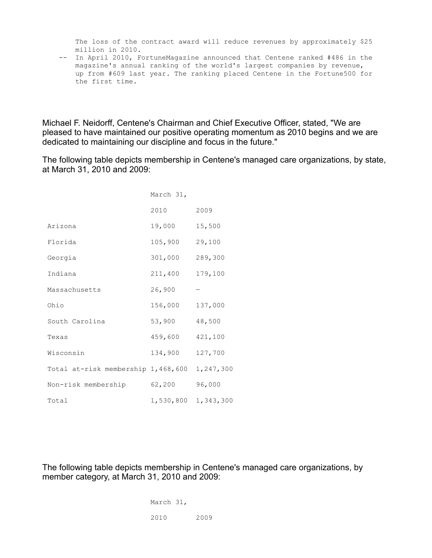The loss of the contract award will reduce revenues by approximately \$25 million in 2010.

 -- In April 2010, FortuneMagazine announced that Centene ranked #486 in the magazine's annual ranking of the world's largest companies by revenue, up from #609 last year. The ranking placed Centene in the Fortune500 for the first time.

Michael F. Neidorff, Centene's Chairman and Chief Executive Officer, stated, "We are pleased to have maintained our positive operating momentum as 2010 begins and we are dedicated to maintaining our discipline and focus in the future."

The following table depicts membership in Centene's managed care organizations, by state, at March 31, 2010 and 2009:

|                                    | March 31, |           |
|------------------------------------|-----------|-----------|
|                                    | 2010      | 2009      |
| Arizona                            | 19,000    | 15,500    |
| Florida                            | 105,900   | 29,100    |
| Georgia                            | 301,000   | 289,300   |
| Indiana                            | 211,400   | 179,100   |
| Massachusetts                      | 26,900    |           |
| Ohio                               | 156,000   | 137,000   |
| South Carolina                     | 53,900    | 48,500    |
| Texas                              | 459,600   | 421,100   |
| Wisconsin                          | 134,900   | 127,700   |
| Total at-risk membership 1,468,600 |           | 1,247,300 |
| Non-risk membership                | 62,200    | 96,000    |
| Total                              | 1,530,800 | 1,343,300 |

The following table depicts membership in Centene's managed care organizations, by member category, at March 31, 2010 and 2009:

> March 31, 2010 2009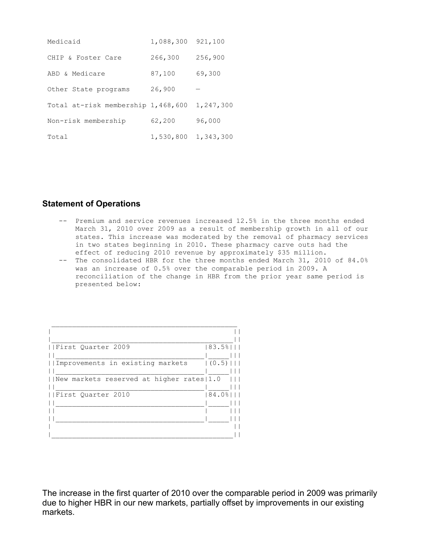| Medicaid                           | 1,088,300 | 921,100   |
|------------------------------------|-----------|-----------|
| CHIP & Foster Care                 | 266,300   | 256,900   |
| ABD & Medicare                     | 87,100    | 69,300    |
| Other State programs               | 26,900    |           |
| Total at-risk membership 1,468,600 |           | 1,247,300 |
| Non-risk membership                | 62,200    | 96,000    |
| Total                              | 1,530,800 | 1,343,300 |

#### **Statement of Operations**

- -- Premium and service revenues increased 12.5% in the three months ended March 31, 2010 over 2009 as a result of membership growth in all of our states. This increase was moderated by the removal of pharmacy services in two states beginning in 2010. These pharmacy carve outs had the effect of reducing 2010 revenue by approximately \$35 million.
- -- The consolidated HBR for the three months ended March 31, 2010 of 84.0% was an increase of 0.5% over the comparable period in 2009. A reconciliation of the change in HBR from the prior year same period is presented below:

| First Ouarter 2009                       | 83.5% |
|------------------------------------------|-------|
| Improvements in existing markets         | (0.5) |
| New markets reserved at higher rates 1.0 |       |
| First Ouarter 2010                       | 84.0% |
|                                          |       |
|                                          |       |

The increase in the first quarter of 2010 over the comparable period in 2009 was primarily due to higher HBR in our new markets, partially offset by improvements in our existing markets.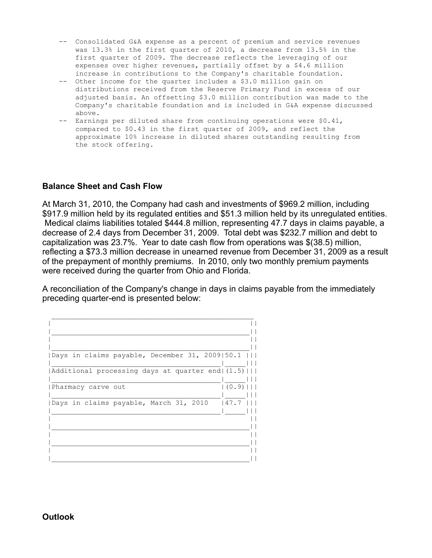- -- Consolidated G&A expense as a percent of premium and service revenues was 13.3% in the first quarter of 2010, a decrease from 13.5% in the first quarter of 2009. The decrease reflects the leveraging of our expenses over higher revenues, partially offset by a \$4.6 million increase in contributions to the Company's charitable foundation.
- -- Other income for the quarter includes a \$3.0 million gain on distributions received from the Reserve Primary Fund in excess of our adjusted basis. An offsetting \$3.0 million contribution was made to the Company's charitable foundation and is included in G&A expense discussed above.
- -- Earnings per diluted share from continuing operations were \$0.41, compared to \$0.43 in the first quarter of 2009, and reflect the approximate 10% increase in diluted shares outstanding resulting from the stock offering.

#### **Balance Sheet and Cash Flow**

At March 31, 2010, the Company had cash and investments of \$969.2 million, including \$917.9 million held by its regulated entities and \$51.3 million held by its unregulated entities. Medical claims liabilities totaled \$444.8 million, representing 47.7 days in claims payable, a decrease of 2.4 days from December 31, 2009. Total debt was \$232.7 million and debt to capitalization was 23.7%. Year to date cash flow from operations was \$(38.5) million, reflecting a \$73.3 million decrease in unearned revenue from December 31, 2009 as a result of the prepayment of monthly premiums. In 2010, only two monthly premium payments were received during the quarter from Ohio and Florida.

A reconciliation of the Company's change in days in claims payable from the immediately preceding quarter-end is presented below:

| Days in claims payable, December 31, 2009 50.1     |         |
|----------------------------------------------------|---------|
| Additional processing days at quarter end (1.5)    |         |
| Pharmacy carve out                                 | $(0.9)$ |
|                                                    |         |
|                                                    |         |
|                                                    |         |
|                                                    |         |
| Days in claims payable, March 31, 2010 $\mid$ 47.7 |         |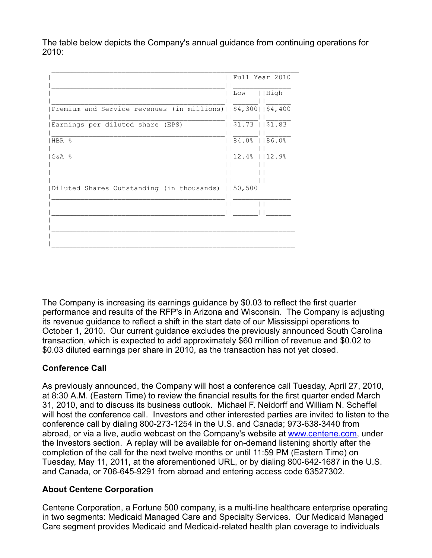The table below depicts the Company's annual guidance from continuing operations for 2010:

|                                                                            | Full Year 2010               |
|----------------------------------------------------------------------------|------------------------------|
|                                                                            | High<br>  Low                |
|                                                                            |                              |
| Premium and Service revenues (in millions) $ $ $ $ \$4,300 $ $ \$4,400 $ $ |                              |
| Earnings per diluted share (EPS)                                           | $\perp$<br>  \$1.73   \$1.83 |
|                                                                            |                              |
| HBR %                                                                      | 84.0%   86.0%                |
| ାG&A %                                                                     | $ 12.4\% $ $ 12.9\% $        |
|                                                                            |                              |
|                                                                            |                              |
| Diluted Shares Outstanding (in thousands)     50,500                       |                              |
|                                                                            |                              |
|                                                                            |                              |
|                                                                            |                              |
|                                                                            |                              |
|                                                                            |                              |

The Company is increasing its earnings guidance by \$0.03 to reflect the first quarter performance and results of the RFP's in Arizona and Wisconsin. The Company is adjusting its revenue guidance to reflect a shift in the start date of our Mississippi operations to October 1, 2010. Our current guidance excludes the previously announced South Carolina transaction, which is expected to add approximately \$60 million of revenue and \$0.02 to \$0.03 diluted earnings per share in 2010, as the transaction has not yet closed.

## **Conference Call**

As previously announced, the Company will host a conference call Tuesday, April 27, 2010, at 8:30 A.M. (Eastern Time) to review the financial results for the first quarter ended March 31, 2010, and to discuss its business outlook. Michael F. Neidorff and William N. Scheffel will host the conference call. Investors and other interested parties are invited to listen to the conference call by dialing 800-273-1254 in the U.S. and Canada; 973-638-3440 from abroad, or via a live, audio webcast on the Company's website at [www.centene.com,](http://www.centene.com/) under the Investors section. A replay will be available for on-demand listening shortly after the completion of the call for the next twelve months or until 11:59 PM (Eastern Time) on Tuesday, May 11, 2011, at the aforementioned URL, or by dialing 800-642-1687 in the U.S. and Canada, or 706-645-9291 from abroad and entering access code 63527302.

### **About Centene Corporation**

Centene Corporation, a Fortune 500 company, is a multi-line healthcare enterprise operating in two segments: Medicaid Managed Care and Specialty Services. Our Medicaid Managed Care segment provides Medicaid and Medicaid-related health plan coverage to individuals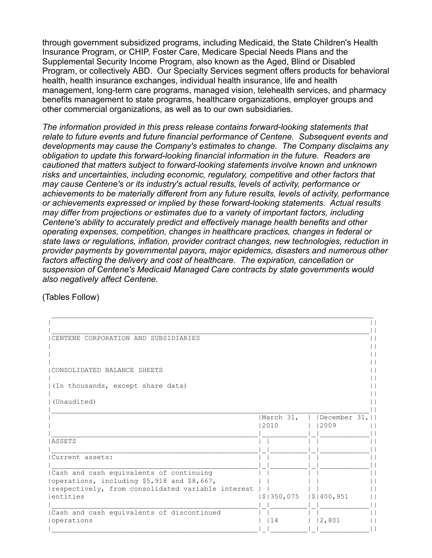through government subsidized programs, including Medicaid, the State Children's Health Insurance Program, or CHIP, Foster Care, Medicare Special Needs Plans and the Supplemental Security Income Program, also known as the Aged, Blind or Disabled Program, or collectively ABD. Our Specialty Services segment offers products for behavioral health, health insurance exchanges, individual health insurance, life and health management, long-term care programs, managed vision, telehealth services, and pharmacy benefits management to state programs, healthcare organizations, employer groups and other commercial organizations, as well as to our own subsidiaries.

*The information provided in this press release contains forward-looking statements that relate to future events and future financial performance of Centene. Subsequent events and developments may cause the Company's estimates to change. The Company disclaims any obligation to update this forward-looking financial information in the future. Readers are cautioned that matters subject to forward-looking statements involve known and unknown risks and uncertainties, including economic, regulatory, competitive and other factors that may cause Centene's or its industry's actual results, levels of activity, performance or achievements to be materially different from any future results, levels of activity, performance or achievements expressed or implied by these forward-looking statements. Actual results may differ from projections or estimates due to a variety of important factors, including Centene's ability to accurately predict and effectively manage health benefits and other operating expenses, competition, changes in healthcare practices, changes in federal or state laws or regulations, inflation, provider contract changes, new technologies, reduction in provider payments by governmental payors, major epidemics, disasters and numerous other factors affecting the delivery and cost of healthcare. The expiration, cancellation or suspension of Centene's Medicaid Managed Care contracts by state governments would also negatively affect Centene.* 

(Tables Follow)

| CENTENE CORPORATION AND SUBSIDIARIES                                                  |            |              |
|---------------------------------------------------------------------------------------|------------|--------------|
|                                                                                       |            |              |
| CONSOLIDATED BALANCE SHEETS                                                           |            |              |
| (In thousands, except share data)                                                     |            |              |
| (Unaudited)                                                                           |            |              |
|                                                                                       | March 31,  | December 31, |
|                                                                                       | 2010       | 2009         |
| ASSETS                                                                                |            |              |
| Current assets:                                                                       |            |              |
| Cash and cash equivalents of continuing<br>operations, including \$5,918 and \$8,667, |            |              |
| respectively, from consolidated variable interest<br>entities                         | \$1350,075 | \$1400,951   |
| Cash and cash equivalents of discontinued<br>operations                               | 14         | 2,801        |
|                                                                                       |            |              |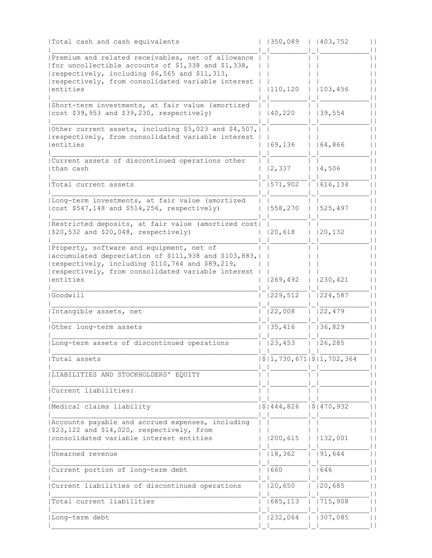| Total cash and cash equivalents                                                                                                                                                                                             | 1350,089                  | 1403,752   |
|-----------------------------------------------------------------------------------------------------------------------------------------------------------------------------------------------------------------------------|---------------------------|------------|
| Premium and related receivables, net of allowance<br>  for uncollectible accounts of \$1,338 and \$1,338,<br>respectively, including \$6,565 and \$11,313,<br>respectively, from consolidated variable interest<br>entities | 110, 120                  | 103, 456   |
| Short-term investments, at fair value (amortized<br>cost \$39,953 and \$39,230, respectively)                                                                                                                               | 40,220                    | 139,554    |
| Other current assets, including \$5,023 and \$4,507,  <br>respectively, from consolidated variable interest<br>lentities                                                                                                    | 169, 136                  | 164,866    |
| Current assets of discontinued operations other<br> than cash                                                                                                                                                               | 2,337                     | 4,506      |
| Total current assets                                                                                                                                                                                                        | 1571,902                  | 616, 134   |
| Long-term investments, at fair value (amortized<br>$ cost $547,148$ and $$514,256$ , respectively)                                                                                                                          | 1558, 270                 | 1525, 497  |
| Restricted deposits, at fair value (amortized cost)<br>$  $20,532 \text{ and } $20,048, \text{ respectively} \rangle$                                                                                                       | 20,618                    | 120, 132   |
| Property, software and equipment, net of<br>  accumulated depreciation of \$111,938 and \$103,883,<br>respectively, including \$110,764 and \$89,219,<br>respectively, from consolidated variable interest<br>entities      | 1269, 492                 | 1230, 421  |
| Goodwill                                                                                                                                                                                                                    | 229,512                   | 224,587    |
| Intangible assets, net                                                                                                                                                                                                      | 22,008                    | 122,479    |
| Other long-term assets                                                                                                                                                                                                      | 135,416                   | 36,829     |
| Long-term assets of discontinued operations                                                                                                                                                                                 | 23, 453                   | 126, 285   |
| Total assets                                                                                                                                                                                                                | \$ 1,730,671 \$ 1,702,364 |            |
| LIABILITIES AND STOCKHOLDERS' EQUITY                                                                                                                                                                                        |                           |            |
| Current liabilities:                                                                                                                                                                                                        |                           |            |
| Medical claims liability                                                                                                                                                                                                    | $\sqrt{5}$   444,826      | \$1470,932 |
| Accounts payable and accrued expenses, including<br>$  $23,122 \text{ and } $14,020, \text{ respectively, from}$<br>consolidated variable interest entities                                                                 | 200,615                   | 132,001    |
| Unearned revenue                                                                                                                                                                                                            | 18, 362                   | 191,644    |
| Current portion of long-term debt                                                                                                                                                                                           | 1660                      | 646        |
| Current liabilities of discontinued operations                                                                                                                                                                              | 20,650                    | 20,685     |
| Total current liabilities                                                                                                                                                                                                   | 685,113                   | 1715,908   |
| Long-term debt                                                                                                                                                                                                              | 232,064                   | 307,085    |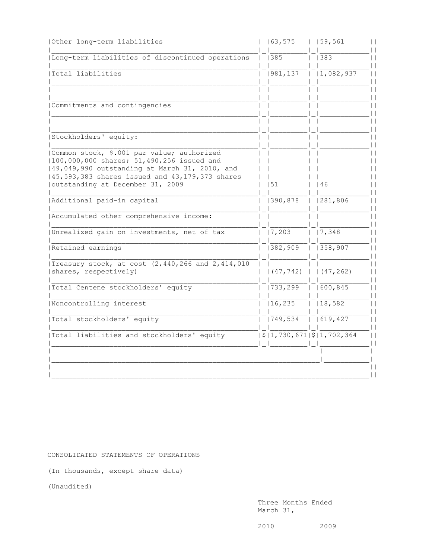| 63, 575 |                                                                                               | $ $   59,561                                                      |
|---------|-----------------------------------------------------------------------------------------------|-------------------------------------------------------------------|
|         |                                                                                               | 383                                                               |
|         |                                                                                               | 1,082,937                                                         |
|         |                                                                                               |                                                                   |
|         |                                                                                               |                                                                   |
|         |                                                                                               |                                                                   |
|         |                                                                                               |                                                                   |
|         |                                                                                               | 46                                                                |
|         |                                                                                               | 1281,806                                                          |
|         |                                                                                               |                                                                   |
|         |                                                                                               | $\overline{1}$ $\overline{7,348}$                                 |
|         |                                                                                               | $\overline{1}$   358,907                                          |
|         |                                                                                               |                                                                   |
|         |                                                                                               |                                                                   |
|         |                                                                                               | 1600, 845                                                         |
|         |                                                                                               | $ $   18,582                                                      |
|         |                                                                                               |                                                                   |
|         |                                                                                               |                                                                   |
|         |                                                                                               |                                                                   |
|         |                                                                                               |                                                                   |
|         | 1385<br>1981, 137<br>151<br>  390,878<br>$\frac{1}{7,203}$<br>1382,909<br>1733,299<br>16, 235 | $(47, 742)$   $(47, 262)$<br>$\sqrt{21,730,671}\sqrt{21,702,364}$ |

CONSOLIDATED STATEMENTS OF OPERATIONS

(In thousands, except share data)

(Unaudited)

 Three Months Ended March 31,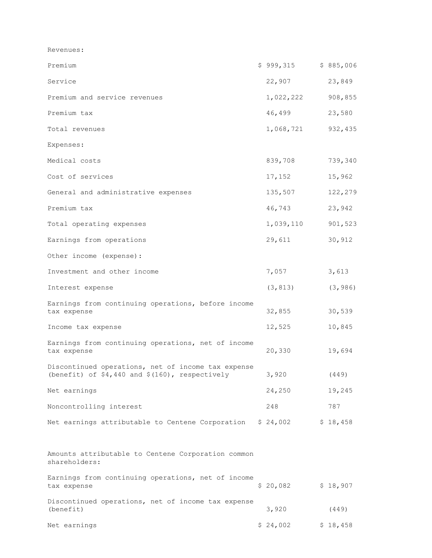Revenues:

| Premium                                                                                                 | \$999,315 | \$885,006 |
|---------------------------------------------------------------------------------------------------------|-----------|-----------|
| Service                                                                                                 | 22,907    | 23,849    |
| Premium and service revenues                                                                            | 1,022,222 | 908,855   |
| Premium tax                                                                                             | 46,499    | 23,580    |
| Total revenues                                                                                          | 1,068,721 | 932,435   |
| Expenses:                                                                                               |           |           |
| Medical costs                                                                                           | 839,708   | 739,340   |
| Cost of services                                                                                        | 17,152    | 15,962    |
| General and administrative expenses                                                                     | 135,507   | 122,279   |
| Premium tax                                                                                             | 46,743    | 23,942    |
| Total operating expenses                                                                                | 1,039,110 | 901,523   |
| Earnings from operations                                                                                | 29,611    | 30,912    |
| Other income (expense):                                                                                 |           |           |
| Investment and other income                                                                             | 7,057     | 3,613     |
| Interest expense                                                                                        | (3, 813)  | (3, 986)  |
| Earnings from continuing operations, before income<br>tax expense                                       | 32,855    | 30,539    |
| Income tax expense                                                                                      | 12,525    | 10,845    |
| Earnings from continuing operations, net of income<br>tax expense                                       | 20,330    | 19,694    |
| Discontinued operations, net of income tax expense<br>(benefit) of $$4,440$ and $$(160)$ , respectively | 3,920     | (449)     |
| Net earnings                                                                                            | 24,250    | 19,245    |
| Noncontrolling interest                                                                                 | 248       | 787       |
| Net earnings attributable to Centene Corporation \$ 24,002                                              |           | \$18,458  |
| Amounts attributable to Centene Corporation common<br>shareholders:                                     |           |           |
| Earnings from continuing operations, net of income<br>tax expense                                       | \$20,082  | \$18,907  |
| Discontinued operations, net of income tax expense<br>(benefit)                                         | 3,920     | (449)     |
| Net earnings                                                                                            | \$24,002  | \$18,458  |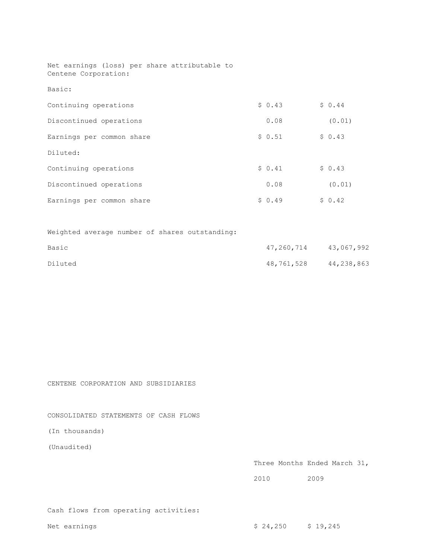Net earnings (loss) per share attributable to Centene Corporation:

Basic:

| Continuing operations     | \$0.43 | \$0.44 |
|---------------------------|--------|--------|
| Discontinued operations   | 0.08   | (0.01) |
| Earnings per common share | \$0.51 | \$0.43 |
| Diluted:                  |        |        |
| Continuing operations     | \$0.41 | \$0.43 |
| Discontinued operations   | 0.08   | (0.01) |
| Earnings per common share | \$0.49 | \$0.42 |

Weighted average number of shares outstanding:

| Basic   | 47,260,714 | 43,067,992 |
|---------|------------|------------|
| Diluted | 48,761,528 | 44,238,863 |

CENTENE CORPORATION AND SUBSIDIARIES

CONSOLIDATED STATEMENTS OF CASH FLOWS

(In thousands)

(Unaudited)

| Three Months Ended March 31, |  |
|------------------------------|--|
|------------------------------|--|

2010 2009

Cash flows from operating activities: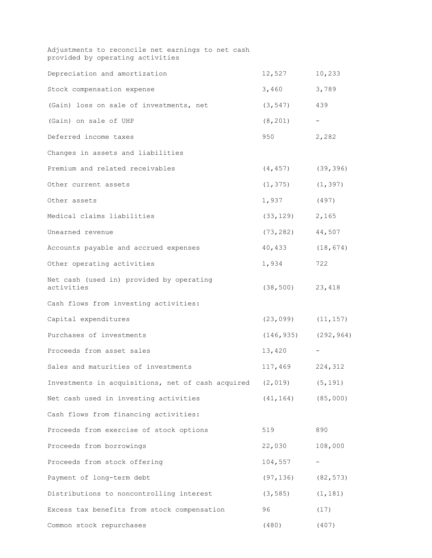| Adjustments to reconcile net earnings to net cash<br>provided by operating activities |                           |           |
|---------------------------------------------------------------------------------------|---------------------------|-----------|
| Depreciation and amortization                                                         | 12,527                    | 10,233    |
| Stock compensation expense                                                            | 3,460                     | 3,789     |
| (Gain) loss on sale of investments, net                                               | (3, 547)                  | 439       |
| (Gain) on sale of UHP                                                                 | (8, 201)                  |           |
| Deferred income taxes                                                                 | 950                       | 2,282     |
| Changes in assets and liabilities                                                     |                           |           |
| Premium and related receivables                                                       | $(4, 457)$ (39,396)       |           |
| Other current assets                                                                  | (1, 375)                  | (1, 397)  |
| Other assets                                                                          | 1,937                     | (497)     |
| Medical claims liabilities                                                            | $(33, 129)$ 2, 165        |           |
| Unearned revenue                                                                      | (73, 282)                 | 44,507    |
| Accounts payable and accrued expenses                                                 | 40,433                    | (18, 674) |
| Other operating activities                                                            | 1,934                     | 722       |
| Net cash (used in) provided by operating<br>activities                                | (38, 500)                 | 23,418    |
| Cash flows from investing activities:                                                 |                           |           |
| Capital expenditures                                                                  | (23, 099)                 | (11, 157) |
| Purchases of investments                                                              | $(146, 935)$ $(292, 964)$ |           |
| Proceeds from asset sales                                                             | 13,420                    |           |
| Sales and maturities of investments                                                   | 117,469                   | 224,312   |
| Investments in acquisitions, net of cash acquired                                     | (2, 019)                  | (5, 191)  |
| Net cash used in investing activities                                                 | (41, 164)                 | (85,000)  |
| Cash flows from financing activities:                                                 |                           |           |
| Proceeds from exercise of stock options                                               | 519                       | 890       |
| Proceeds from borrowings                                                              | 22,030                    | 108,000   |
| Proceeds from stock offering                                                          | 104,557                   |           |
| Payment of long-term debt                                                             | (97, 136)                 | (82, 573) |
| Distributions to noncontrolling interest                                              | (3, 585)                  | (1, 181)  |
| Excess tax benefits from stock compensation                                           | 96                        | (17)      |
| Common stock repurchases                                                              | (480)                     | (407)     |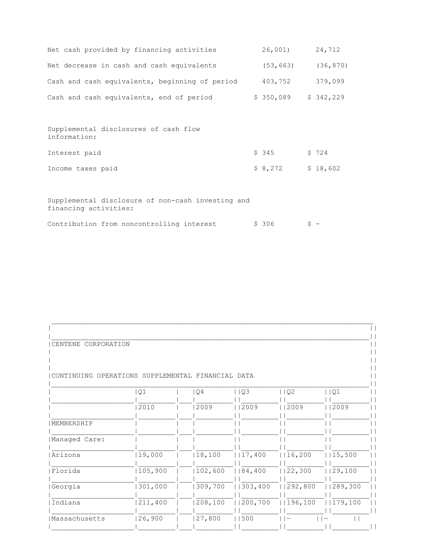| Net cash provided by financing activities                                  | 26,001)               |    | 24,712    |
|----------------------------------------------------------------------------|-----------------------|----|-----------|
| Net decrease in cash and cash equivalents                                  | (53, 663)             |    | (36, 870) |
| Cash and cash equivalents, beginning of period                             | 403,752               |    | 379,099   |
| Cash and cash equivalents, end of period                                   | $$350,089$ $$342,229$ |    |           |
|                                                                            |                       |    |           |
| Supplemental disclosures of cash flow<br>information:                      |                       |    |           |
| Interest paid                                                              | \$345                 |    | \$724     |
| Income taxes paid                                                          | \$8,272               |    | \$18,602  |
|                                                                            |                       |    |           |
| Supplemental disclosure of non-cash investing and<br>financing activities: |                       |    |           |
| Contribution from noncontrolling interest                                  | \$ 306                | S. |           |

| CENTENE<br>CORPORATION |                                   |         |          |            |         |
|------------------------|-----------------------------------|---------|----------|------------|---------|
|                        |                                   |         |          |            |         |
|                        |                                   |         |          |            |         |
| CONTINUING             | OPERATIONS SUPPLEMENTAL FINANCIAL |         | DATA     |            |         |
|                        | Q1                                | Q4      | Q3       | $ $ $ $ Q2 | Q1      |
|                        | 2010                              | 2009    | 2009     | 12009      | 2009    |
|                        |                                   |         |          |            |         |
| MEMBERSHIP             |                                   |         |          |            |         |
| Managed Care:          |                                   |         |          |            |         |
| Arizona                | 19,000                            | 18,100  | 117,400  | 16,200     | 15,500  |
| Florida                | 105,900                           | 102,600 | 1184,400 | 22,300     | 29,100  |
| Georgia                | 301,000                           | 309,700 | 303,400  | 292,800    | 289,300 |
| Indiana                | 211,400                           | 208,100 | 200,700  | 196,100    | 179,100 |
| Massachusetts          | 26,900                            | 27,800  | 500      |            |         |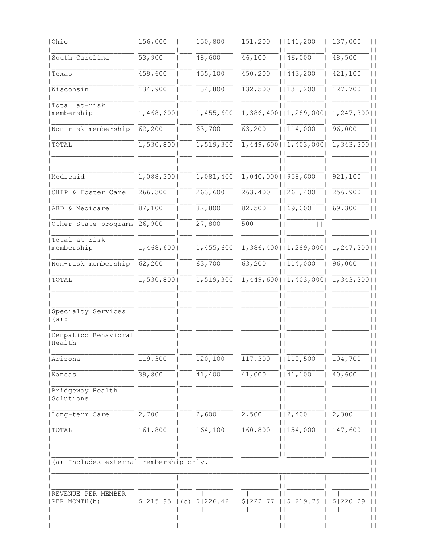| Ohio                                                | 156,000     | 150, 800         | 151, 200                                                           | 1141,200    | 1137,000                                                           |  |
|-----------------------------------------------------|-------------|------------------|--------------------------------------------------------------------|-------------|--------------------------------------------------------------------|--|
| South Carolina                                      | 53,900      | 148,600          | 1146,100                                                           | 1146,000    | 1148,500                                                           |  |
| Texas                                               | 159,600     | 1455, 100        | 11450, 200                                                         | 11443,200   | 11421,100                                                          |  |
| Wisconsin                                           | 134,900     | 134,800          | 1132,500                                                           | 1131,200    | 1127,700                                                           |  |
| Total at-risk<br>membership                         | 1, 468, 600 |                  |                                                                    |             | $ 1, 455, 600 $ $ 1, 386, 400 $ $ 1, 289, 000 $ $ 1, 247, 300 $    |  |
| Non-risk membership   62,200                        |             | 163,700          | 1163, 200                                                          | 1114,000    | 1196,000                                                           |  |
| TOTAL                                               | 1, 530, 800 |                  | $(1, 519, 300 \mid 1, 449, 600 \mid 1, 403, 000 \mid 1, 343, 300)$ |             |                                                                    |  |
| Medicaid                                            | 1,088,300   |                  | $(1,081,400)$ $(1,040,000)$ $(958,600)$                            |             | 1921, 100                                                          |  |
| CHIP & Foster Care                                  | 266,300     | 263,600          | 263, 400                                                           | 1261,400    | 11256,900                                                          |  |
| ABD & Medicare                                      | 87,100      | 82,800           | 1182,500                                                           | 169,000     | 1169,300                                                           |  |
| Other State programs   26, 900                      |             | 27,800           | 500                                                                |             |                                                                    |  |
| Total at-risk<br>membership                         | 1, 468, 600 |                  |                                                                    |             | $ 1, 455, 600 $ $ 1, 386, 400 $ $ 1, 289, 000 $ $ 1, 247, 300 $    |  |
| Non-risk membership 162,200                         |             | 163,700          | 1163, 200                                                          | 1114,000    | 1196,000                                                           |  |
| TOTAL                                               | 1, 530, 800 |                  |                                                                    |             | $(1, 519, 300 \mid 1, 449, 600 \mid 1, 403, 000 \mid 1, 343, 300)$ |  |
| Specialty Services<br>(a) :<br>Cenpatico Behavioral |             |                  |                                                                    |             |                                                                    |  |
| Health                                              |             |                  |                                                                    |             |                                                                    |  |
| Arizona                                             | 119,300     | 120,100          | 1117,300                                                           | 1110,500    | 1104,700                                                           |  |
| Kansas                                              | 39,800      | 41,400           | 41,000                                                             | 41, 100     | 40,600                                                             |  |
| Bridgeway Health<br>Solutions                       |             |                  |                                                                    |             |                                                                    |  |
| Long-term Care                                      | 2,700       | 2,600            | 112,500                                                            | 112,400     | 2,300                                                              |  |
| TOTAL                                               | 161,800     | 164,100          | 160, 800                                                           | 1154,000    | 147,600                                                            |  |
| Includes external membership only.<br>(a)           |             |                  |                                                                    |             |                                                                    |  |
| REVENUE PER MEMBER<br>PER MONTH (b)                 | \$ 215.95   | \$1226.42<br>(c) | S<br>222<br>77                                                     | 219.75<br>S | \$1220.29                                                          |  |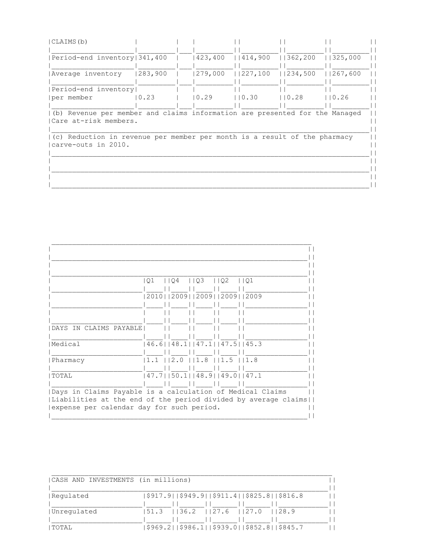| CLAIMS (b)                                                                  |         |                           |        |  |           |           |  |
|-----------------------------------------------------------------------------|---------|---------------------------|--------|--|-----------|-----------|--|
|                                                                             |         |                           |        |  |           |           |  |
| Period-end inventory   341, 400                                             |         | $ 423, 400 $ $ 414, 900 $ |        |  | 1362, 200 | 1325,000  |  |
|                                                                             |         |                           |        |  |           |           |  |
| Average inventory                                                           | 283,900 | 279,000   227,100         |        |  | 1234,500  | 11267,600 |  |
|                                                                             |         |                           |        |  |           |           |  |
| Period-end inventory                                                        |         |                           |        |  |           |           |  |
| per member                                                                  | 10.23   | $\vert 0.29 \rangle$      | 110.30 |  | 110.28    | 110.26    |  |
|                                                                             |         |                           |        |  |           |           |  |
| (b) Revenue per member and claims information are presented for the Managed |         |                           |        |  |           |           |  |
| Care at-risk members.                                                       |         |                           |        |  |           |           |  |
|                                                                             |         |                           |        |  |           |           |  |
| (c) Reduction in revenue per member per month is a result of the pharmacy   |         |                           |        |  |           |           |  |
| carve-outs in 2010.                                                         |         |                           |        |  |           |           |  |
|                                                                             |         |                           |        |  |           |           |  |
|                                                                             |         |                           |        |  |           |           |  |
|                                                                             |         |                           |        |  |           |           |  |
|                                                                             |         |                           |        |  |           |           |  |
|                                                                             |         |                           |        |  |           |           |  |
|                                                                             |         |                           |        |  |           |           |  |

|                                           | 1103<br>02<br>Q1<br>l I 04<br> O1                              |
|-------------------------------------------|----------------------------------------------------------------|
|                                           |                                                                |
|                                           | 2010     2009     2009     2009     2009                       |
|                                           |                                                                |
|                                           |                                                                |
|                                           |                                                                |
| DAYS IN CLAIMS PAYABLE                    |                                                                |
|                                           |                                                                |
| Medical                                   | $46.6$    $48.1$    $47.1$    $47.5$    $45.3$                 |
|                                           |                                                                |
| Pharmacy                                  | 1.8  <br>$1.1$ $ 12.0$<br>$1.5$ $11.8$                         |
|                                           |                                                                |
| TOTAL                                     | $ 47.7 $   50.1  48.9  49.0  47.1                              |
|                                           |                                                                |
|                                           | Days in Claims Payable is a calculation of Medical Claims      |
|                                           | Liabilities at the end of the period divided by average claims |
| expense per calendar day for such period. |                                                                |
|                                           |                                                                |

| (CASH AND INVESTMENTS (in millions) |                                                     |  |
|-------------------------------------|-----------------------------------------------------|--|
| Regulated                           | $ $917.9 $ $$949.9 $ $$911.4 $ $$825.8 $ $$816.8$   |  |
| Unregulated                         | 51.3   36.2   27.6   27.0   28.9                    |  |
| I TOTAL                             | \$969.2    \$986.1    \$939.0    \$852.8    \$845.7 |  |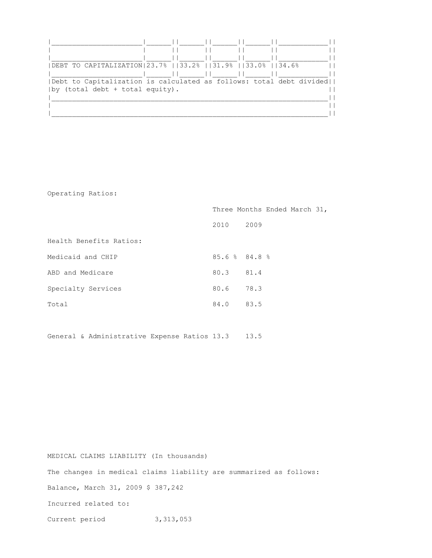| DEBT TO CAPITALIZATION 23.7%   33.2%   31.9%   33.0%   34.6%          |  |  |
|-----------------------------------------------------------------------|--|--|
|                                                                       |  |  |
| (Debt to Capitalization is calculated as follows: total debt divided) |  |  |
| $ by$ (total debt + total equity).                                    |  |  |
|                                                                       |  |  |
|                                                                       |  |  |
|                                                                       |  |  |

Operating Ratios:

|                         | Three Months Ended March 31, |      |  |  |
|-------------------------|------------------------------|------|--|--|
|                         | 2010                         | 2009 |  |  |
| Health Benefits Ratios: |                              |      |  |  |
| Medicaid and CHIP       | $85.6$ $8$ $84.8$ $8$        |      |  |  |
| ABD and Medicare        | 80.3 81.4                    |      |  |  |
| Specialty Services      | 80.6 78.3                    |      |  |  |
| Total                   | 84.0                         | 83.5 |  |  |

General & Administrative Expense Ratios 13.3 13.5

MEDICAL CLAIMS LIABILITY (In thousands) The changes in medical claims liability are summarized as follows: Balance, March 31, 2009 \$ 387,242 Incurred related to: Current period 3,313,053